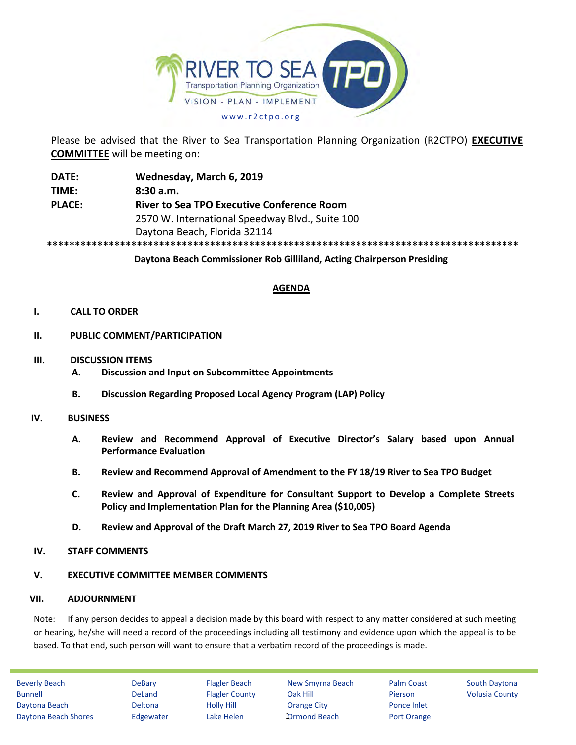

Please be advised that the River to Sea Transportation Planning Organization (R2CTPO) **EXECUTIVE COMMITTEE** will be meeting on:

**DATE: Wednesday, March 6, 2019 TIME: 8:30 a.m. PLACE: River to Sea TPO Executive Conference Room** 2570 W. International Speedway Blvd., Suite 100 Daytona Beach, Florida 32114 **\*\*\*\*\*\*\*\*\*\*\*\*\*\*\*\*\*\*\*\*\*\*\*\*\*\*\*\*\*\*\*\*\*\*\*\*\*\*\*\*\*\*\*\*\*\*\*\*\*\*\*\*\*\*\*\*\*\*\*\*\*\*\*\*\*\*\*\*\*\*\*\*\*\*\*\*\*\*\*\*\*\*\*\***

**Daytona Beach Commissioner Rob Gilliland, Acting Chairperson Presiding**

#### **AGENDA**

#### **I. CALL TO ORDER**

- **II. PUBLIC COMMENT/PARTICIPATION**
- **III. DISCUSSION ITEMS**
	- **A. Discussion and Input on Subcommittee Appointments**
	- **B. Discussion Regarding Proposed Local Agency Program (LAP) Policy**

#### **IV. BUSINESS**

- **A. Review and Recommend Approval of Executive Director's Salary based upon Annual Performance Evaluation**
- **B. Review and Recommend Approval of Amendment to the FY 18/19 River to Sea TPO Budget**
- **C. Review and Approval of Expenditure for Consultant Support to Develop a Complete Streets Policy and Implementation Plan for the Planning Area (\$10,005)**
- **D. Review and Approval of the Draft March 27, 2019 River to Sea TPO Board Agenda**

#### **IV. STAFF COMMENTS**

# **V. EXECUTIVE COMMITTEE MEMBER COMMENTS**

# **VII. ADJOURNMENT**

Note: If any person decides to appeal a decision made by this board with respect to any matter considered at such meeting or hearing, he/she will need a record of the proceedings including all testimony and evidence upon which the appeal is to be based. To that end, such person will want to ensure that a verbatim record of the proceedings is made.

Beverly Beach **DeBary** Flagler Beach New Smyrna Beach Palm Coast South Daytona Bunnell **DeLand** Flagler County Oak Hill Pierson Volusia County Daytona Beach Deltona Holly Hill Orange City Ponce Inlet Daytona Beach Shores Edgewater Lake Helen **D**rmond Beach Port Orange

**1**Drmond Beach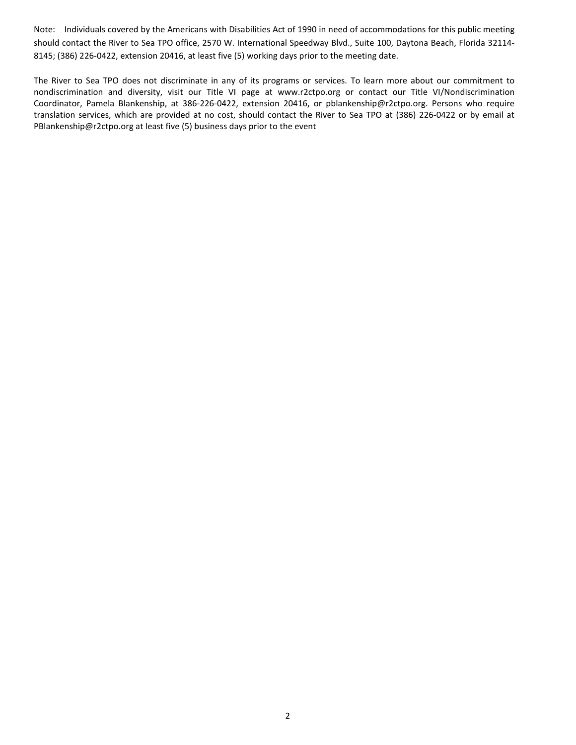Note: Individuals covered by the Americans with Disabilities Act of 1990 in need of accommodations for this public meeting should contact the River to Sea TPO office, 2570 W. International Speedway Blvd., Suite 100, Daytona Beach, Florida 32114- 8145; (386) 226-0422, extension 20416, at least five (5) working days prior to the meeting date.

The River to Sea TPO does not discriminate in any of its programs or services. To learn more about our commitment to nondiscrimination and diversity, visit our Title VI page at www.r2ctpo.org or contact our Title VI/Nondiscrimination Coordinator, Pamela Blankenship, at 386-226-0422, extension 20416, or pblankenship@r2ctpo.org. Persons who require translation services, which are provided at no cost, should contact the River to Sea TPO at (386) 226-0422 or by email at PBlankenship@r2ctpo.org at least five (5) business days prior to the event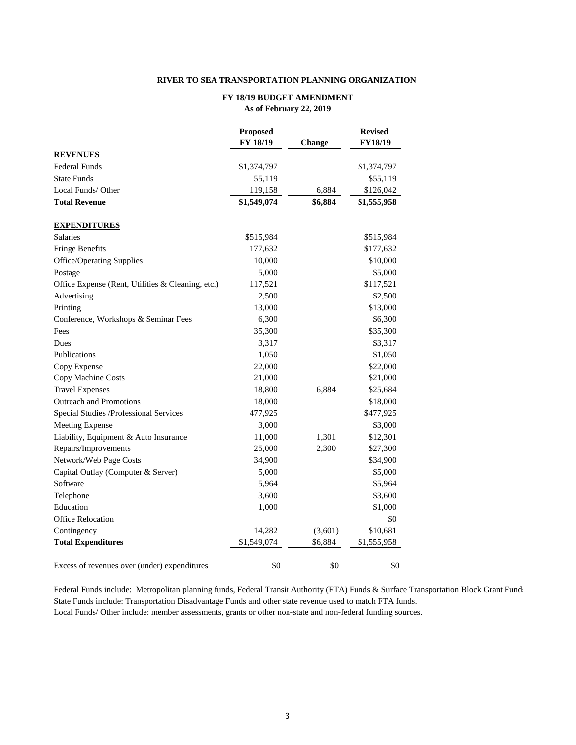#### **RIVER TO SEA TRANSPORTATION PLANNING ORGANIZATION**

#### **FY 18/19 BUDGET AMENDMENT As of February 22, 2019**

|                                                   | <b>Proposed</b><br>FY 18/19 | Change  | <b>Revised</b><br><b>FY18/19</b> |
|---------------------------------------------------|-----------------------------|---------|----------------------------------|
| <b>REVENUES</b>                                   |                             |         |                                  |
| <b>Federal Funds</b>                              | \$1,374,797                 |         | \$1,374,797                      |
| <b>State Funds</b>                                | 55,119                      |         | \$55,119                         |
| Local Funds/Other                                 | 119,158                     | 6,884   | \$126,042                        |
| <b>Total Revenue</b>                              | \$1,549,074                 | \$6,884 | \$1,555,958                      |
| <b>EXPENDITURES</b>                               |                             |         |                                  |
| Salaries                                          | \$515,984                   |         | \$515,984                        |
| <b>Fringe Benefits</b>                            | 177,632                     |         | \$177,632                        |
| <b>Office/Operating Supplies</b>                  | 10,000                      |         | \$10,000                         |
| Postage                                           | 5,000                       |         | \$5,000                          |
| Office Expense (Rent, Utilities & Cleaning, etc.) | 117,521                     |         | \$117,521                        |
| Advertising                                       | 2,500                       |         | \$2,500                          |
| Printing                                          | 13,000                      |         | \$13,000                         |
| Conference, Workshops & Seminar Fees              | 6,300                       |         | \$6,300                          |
| Fees                                              | 35,300                      |         | \$35,300                         |
| Dues                                              | 3,317                       |         | \$3,317                          |
| Publications                                      | 1,050                       |         | \$1,050                          |
| Copy Expense                                      | 22,000                      |         | \$22,000                         |
| Copy Machine Costs                                | 21,000                      |         | \$21,000                         |
| <b>Travel Expenses</b>                            | 18,800                      | 6,884   | \$25,684                         |
| <b>Outreach and Promotions</b>                    | 18,000                      |         | \$18,000                         |
| Special Studies /Professional Services            | 477,925                     |         | \$477,925                        |
| <b>Meeting Expense</b>                            | 3,000                       |         | \$3,000                          |
| Liability, Equipment & Auto Insurance             | 11,000                      | 1,301   | \$12,301                         |
| Repairs/Improvements                              | 25,000                      | 2,300   | \$27,300                         |
| Network/Web Page Costs                            | 34,900                      |         | \$34,900                         |
| Capital Outlay (Computer & Server)                | 5,000                       |         | \$5,000                          |
| Software                                          | 5,964                       |         | \$5,964                          |
| Telephone                                         | 3,600                       |         | \$3,600                          |
| Education                                         | 1,000                       |         | \$1,000                          |
| <b>Office Relocation</b>                          |                             |         | \$0                              |
| Contingency                                       | 14,282                      | (3,601) | \$10,681                         |
| <b>Total Expenditures</b>                         | \$1,549,074                 | \$6,884 | \$1,555,958                      |
| Excess of revenues over (under) expenditures      | \$0                         | \$0     | \$0                              |

Federal Funds include: Metropolitan planning funds, Federal Transit Authority (FTA) Funds & Surface Transportation Block Grant Funds State Funds include: Transportation Disadvantage Funds and other state revenue used to match FTA funds. Local Funds/ Other include: member assessments, grants or other non-state and non-federal funding sources.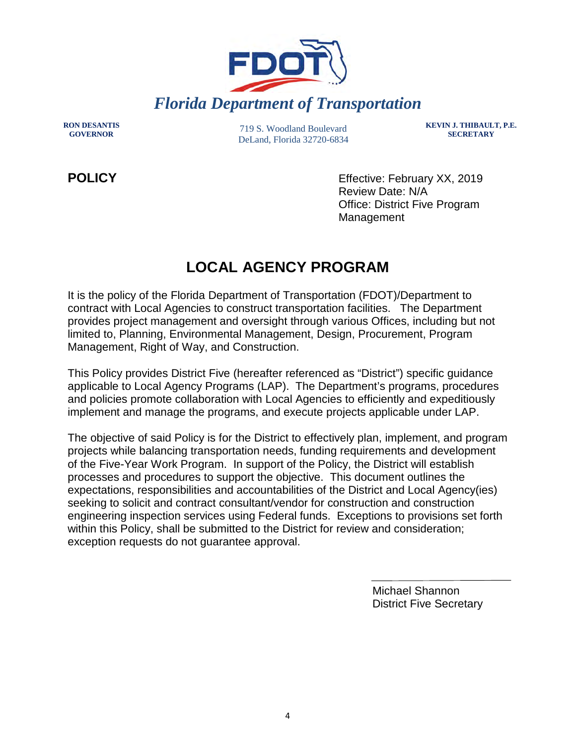

**RON DESANTIS**

719 S. Woodland Boulevard DeLand, Florida 32720-6834 **KEVIN J. THIBAULT, P.E. SECRETARY**

**POLICY** Effective: February XX, 2019 Review Date: N/A Office: District Five Program Management

# **LOCAL AGENCY PROGRAM**

It is the policy of the Florida Department of Transportation (FDOT)/Department to contract with Local Agencies to construct transportation facilities. The Department provides project management and oversight through various Offices, including but not limited to, Planning, Environmental Management, Design, Procurement, Program Management, Right of Way, and Construction.

This Policy provides District Five (hereafter referenced as "District") specific guidance applicable to Local Agency Programs (LAP). The Department's programs, procedures and policies promote collaboration with Local Agencies to efficiently and expeditiously implement and manage the programs, and execute projects applicable under LAP.

The objective of said Policy is for the District to effectively plan, implement, and program projects while balancing transportation needs, funding requirements and development of the Five-Year Work Program. In support of the Policy, the District will establish processes and procedures to support the objective. This document outlines the expectations, responsibilities and accountabilities of the District and Local Agency(ies) seeking to solicit and contract consultant/vendor for construction and construction engineering inspection services using Federal funds. Exceptions to provisions set forth within this Policy, shall be submitted to the District for review and consideration; exception requests do not guarantee approval.

> Michael Shannon District Five Secretary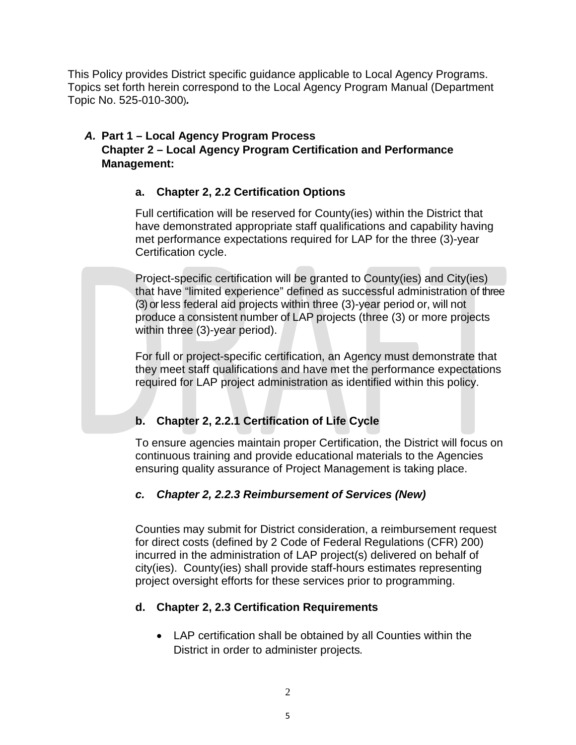This Policy provides District specific guidance applicable to Local Agency Programs. Topics set forth herein correspond to the Local Agency Program Manual (Department Topic No. 525-010-300)*.* 

# *A.* **Part 1 – Local Agency Program Process Chapter 2 – Local Agency Program Certification and Performance Management:**

# **a. Chapter 2, 2.2 Certification Options**

Full certification will be reserved for County(ies) within the District that have demonstrated appropriate staff qualifications and capability having met performance expectations required for LAP for the three (3)-year Certification cycle.

Project-specific certification will be granted to County(ies) and City(ies) that have "limited experience" defined as successful administration of three (3) or less federal aid projects within three (3)-year period or, will not produce a consistent number of LAP projects (three (3) or more projects within three (3)-year period).

For full or project-specific certification, an Agency must demonstrate that they meet staff qualifications and have met the performance expectations required for LAP project administration as identified within this policy.

# **b. Chapter 2, 2.2.1 Certification of Life Cycle**

To ensure agencies maintain proper Certification, the District will focus on continuous training and provide educational materials to the Agencies ensuring quality assurance of Project Management is taking place.

# *c. Chapter 2, 2.2.3 Reimbursement of Services (New)*

Counties may submit for District consideration, a reimbursement request for direct costs (defined by 2 Code of Federal Regulations (CFR) 200) incurred in the administration of LAP project(s) delivered on behalf of city(ies). County(ies) shall provide staff-hours estimates representing project oversight efforts for these services prior to programming.

# **d. Chapter 2, 2.3 Certification Requirements**

• LAP certification shall be obtained by all Counties within the District in order to administer projects*.*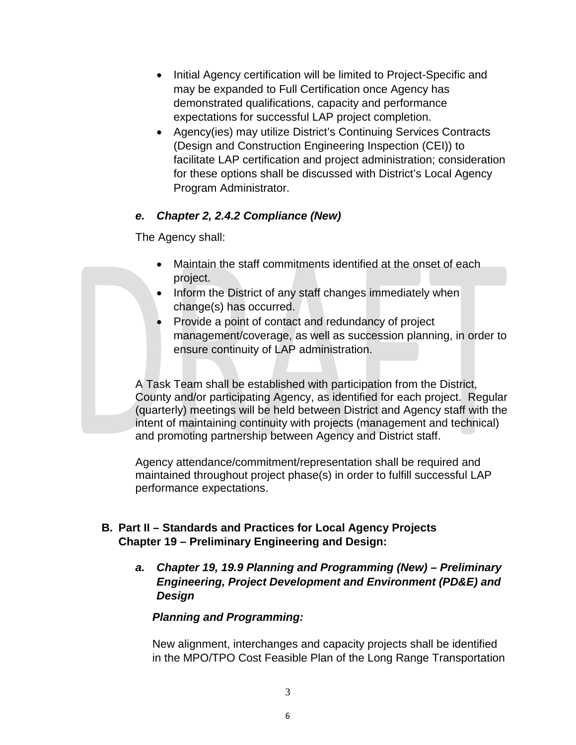- Initial Agency certification will be limited to Project-Specific and may be expanded to Full Certification once Agency has demonstrated qualifications, capacity and performance expectations for successful LAP project completion.
- Agency(ies) may utilize District's Continuing Services Contracts (Design and Construction Engineering Inspection (CEI)) to facilitate LAP certification and project administration; consideration for these options shall be discussed with District's Local Agency Program Administrator.

# *e. Chapter 2, 2.4.2 Compliance (New)*

The Agency shall:

- Maintain the staff commitments identified at the onset of each project.
- Inform the District of any staff changes immediately when change(s) has occurred.
- Provide a point of contact and redundancy of project management/coverage, as well as succession planning, in order to ensure continuity of LAP administration.

A Task Team shall be established with participation from the District, County and/or participating Agency, as identified for each project. Regular (quarterly) meetings will be held between District and Agency staff with the intent of maintaining continuity with projects (management and technical) and promoting partnership between Agency and District staff.

Agency attendance/commitment/representation shall be required and maintained throughout project phase(s) in order to fulfill successful LAP performance expectations.

# **B. Part II – Standards and Practices for Local Agency Projects Chapter 19 – Preliminary Engineering and Design:**

*a. Chapter 19, 19.9 Planning and Programming (New) – Preliminary Engineering, Project Development and Environment (PD&E) and Design* 

# *Planning and Programming:*

New alignment, interchanges and capacity projects shall be identified in the MPO/TPO Cost Feasible Plan of the Long Range Transportation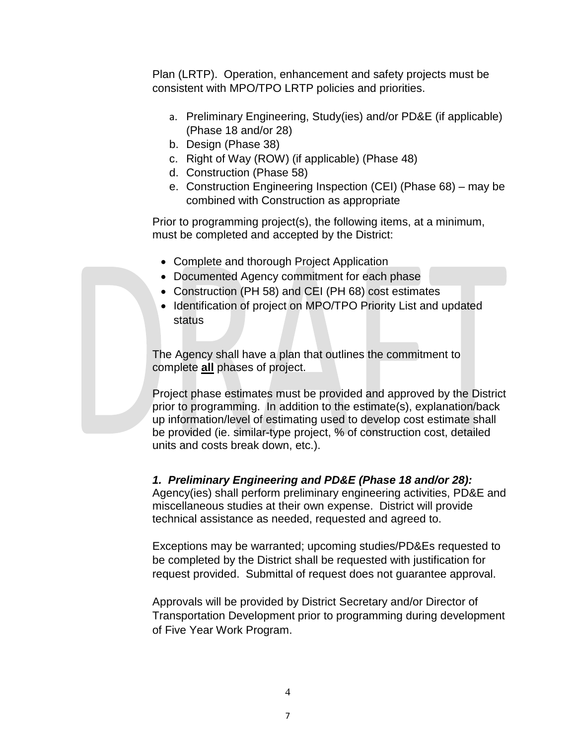Plan (LRTP). Operation, enhancement and safety projects must be consistent with MPO/TPO LRTP policies and priorities.

- a. Preliminary Engineering, Study(ies) and/or PD&E (if applicable) (Phase 18 and/or 28)
- b. Design (Phase 38)
- c. Right of Way (ROW) (if applicable) (Phase 48)
- d. Construction (Phase 58)
- e. Construction Engineering Inspection (CEI) (Phase 68) may be combined with Construction as appropriate

Prior to programming project(s), the following items, at a minimum, must be completed and accepted by the District:

- Complete and thorough Project Application
- Documented Agency commitment for each phase
- Construction (PH 58) and CEI (PH 68) cost estimates
- Identification of project on MPO/TPO Priority List and updated status

The Agency shall have a plan that outlines the commitment to complete **all** phases of project.

Project phase estimates must be provided and approved by the District prior to programming. In addition to the estimate(s), explanation/back up information/level of estimating used to develop cost estimate shall be provided (ie. similar-type project, % of construction cost, detailed units and costs break down, etc.).

# *1. Preliminary Engineering and PD&E (Phase 18 and/or 28):*

Agency(ies) shall perform preliminary engineering activities, PD&E and miscellaneous studies at their own expense. District will provide technical assistance as needed, requested and agreed to.

Exceptions may be warranted; upcoming studies/PD&Es requested to be completed by the District shall be requested with justification for request provided. Submittal of request does not guarantee approval.

Approvals will be provided by District Secretary and/or Director of Transportation Development prior to programming during development of Five Year Work Program.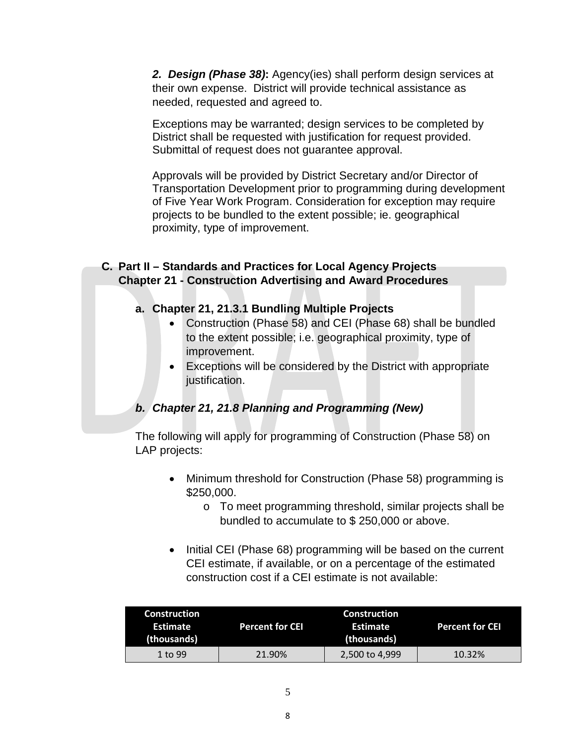*2. Design (Phase 38)***:** Agency(ies) shall perform design services at their own expense. District will provide technical assistance as needed, requested and agreed to.

Exceptions may be warranted; design services to be completed by District shall be requested with justification for request provided. Submittal of request does not guarantee approval.

Approvals will be provided by District Secretary and/or Director of Transportation Development prior to programming during development of Five Year Work Program. Consideration for exception may require projects to be bundled to the extent possible; ie. geographical proximity, type of improvement.

# **C. Part II – Standards and Practices for Local Agency Projects Chapter 21 - Construction Advertising and Award Procedures**

# **a. Chapter 21, 21.3.1 Bundling Multiple Projects**

- Construction (Phase 58) and CEI (Phase 68) shall be bundled to the extent possible; i.e. geographical proximity, type of improvement.
- Exceptions will be considered by the District with appropriate justification.

# *b. Chapter 21, 21.8 Planning and Programming (New)*

The following will apply for programming of Construction (Phase 58) on LAP projects:

- Minimum threshold for Construction (Phase 58) programming is \$250,000.
	- o To meet programming threshold, similar projects shall be bundled to accumulate to \$ 250,000 or above.
- Initial CEI (Phase 68) programming will be based on the current CEI estimate, if available, or on a percentage of the estimated construction cost if a CEI estimate is not available:

| <b>Construction</b><br>Estimate<br>(thousands) | <b>Percent for CEI</b> | Construction<br>Estimate<br>(thousands) | <b>Percent for CEI</b> |
|------------------------------------------------|------------------------|-----------------------------------------|------------------------|
| 1 to 99                                        | 21.90%                 | 2,500 to 4,999                          | 10.32%                 |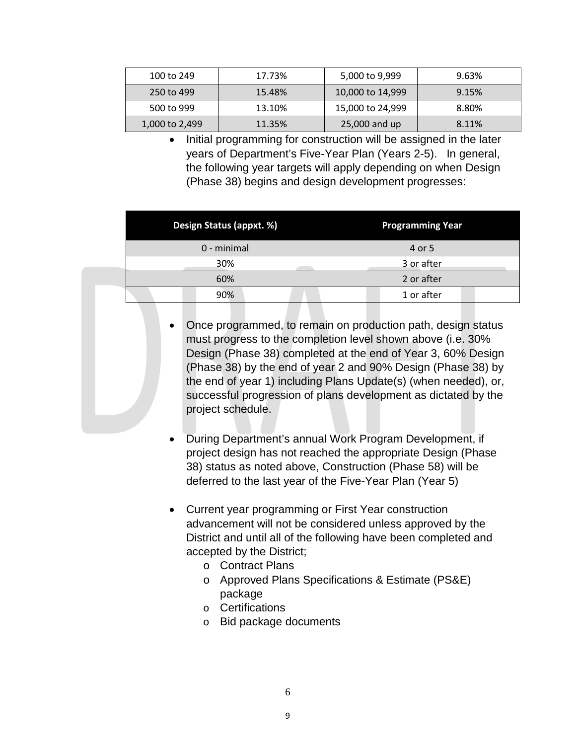| 100 to 249     | 17.73% | 5,000 to 9,999   | 9.63% |
|----------------|--------|------------------|-------|
| 250 to 499     | 15.48% | 10,000 to 14,999 | 9.15% |
| 500 to 999     | 13.10% | 15,000 to 24,999 | 8.80% |
| 1,000 to 2,499 | 11.35% | 25,000 and up    | 8.11% |

• Initial programming for construction will be assigned in the later years of Department's Five-Year Plan (Years 2-5). In general, the following year targets will apply depending on when Design (Phase 38) begins and design development progresses:

| <b>Design Status (appxt. %)</b> | <b>Programming Year</b> |  |
|---------------------------------|-------------------------|--|
| 0 - minimal                     | 4 or 5                  |  |
| 30%                             | 3 or after              |  |
| 60%                             | 2 or after              |  |
| 90%                             | 1 or after              |  |

- Once programmed, to remain on production path, design status must progress to the completion level shown above (i.e. 30% Design (Phase 38) completed at the end of Year 3, 60% Design (Phase 38) by the end of year 2 and 90% Design (Phase 38) by the end of year 1) including Plans Update(s) (when needed), or, successful progression of plans development as dictated by the project schedule.
- During Department's annual Work Program Development, if project design has not reached the appropriate Design (Phase 38) status as noted above, Construction (Phase 58) will be deferred to the last year of the Five-Year Plan (Year 5)
- Current year programming or First Year construction advancement will not be considered unless approved by the District and until all of the following have been completed and accepted by the District;
	- o Contract Plans
	- o Approved Plans Specifications & Estimate (PS&E) package
	- o Certifications
	- o Bid package documents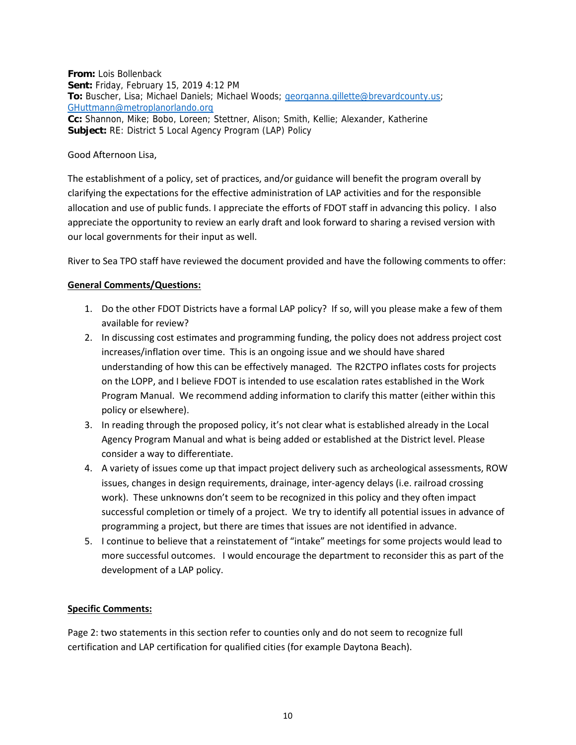**From:** Lois Bollenback **Sent:** Friday, February 15, 2019 4:12 PM **To:** Buscher, Lisa; Michael Daniels; Michael Woods; [georganna.gillette@brevardcounty.us;](mailto:georganna.gillette@brevardcounty.us) [GHuttmann@metroplanorlando.org](mailto:GHuttmann@metroplanorlando.org) **Cc:** Shannon, Mike; Bobo, Loreen; Stettner, Alison; Smith, Kellie; Alexander, Katherine **Subject:** RE: District 5 Local Agency Program (LAP) Policy

#### Good Afternoon Lisa,

The establishment of a policy, set of practices, and/or guidance will benefit the program overall by clarifying the expectations for the effective administration of LAP activities and for the responsible allocation and use of public funds. I appreciate the efforts of FDOT staff in advancing this policy. I also appreciate the opportunity to review an early draft and look forward to sharing a revised version with our local governments for their input as well.

River to Sea TPO staff have reviewed the document provided and have the following comments to offer:

#### **General Comments/Questions:**

- 1. Do the other FDOT Districts have a formal LAP policy? If so, will you please make a few of them available for review?
- 2. In discussing cost estimates and programming funding, the policy does not address project cost increases/inflation over time. This is an ongoing issue and we should have shared understanding of how this can be effectively managed. The R2CTPO inflates costs for projects on the LOPP, and I believe FDOT is intended to use escalation rates established in the Work Program Manual. We recommend adding information to clarify this matter (either within this policy or elsewhere).
- 3. In reading through the proposed policy, it's not clear what is established already in the Local Agency Program Manual and what is being added or established at the District level. Please consider a way to differentiate.
- 4. A variety of issues come up that impact project delivery such as archeological assessments, ROW issues, changes in design requirements, drainage, inter-agency delays (i.e. railroad crossing work). These unknowns don't seem to be recognized in this policy and they often impact successful completion or timely of a project. We try to identify all potential issues in advance of programming a project, but there are times that issues are not identified in advance.
- 5. I continue to believe that a reinstatement of "intake" meetings for some projects would lead to more successful outcomes. I would encourage the department to reconsider this as part of the development of a LAP policy.

#### **Specific Comments:**

Page 2: two statements in this section refer to counties only and do not seem to recognize full certification and LAP certification for qualified cities (for example Daytona Beach).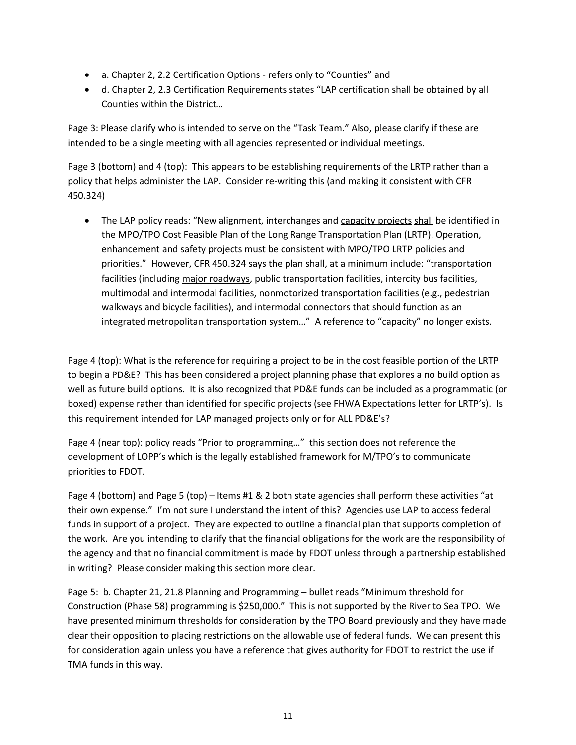- a. Chapter 2, 2.2 Certification Options refers only to "Counties" and
- d. Chapter 2, 2.3 Certification Requirements states "LAP certification shall be obtained by all Counties within the District…

Page 3: Please clarify who is intended to serve on the "Task Team." Also, please clarify if these are intended to be a single meeting with all agencies represented or individual meetings.

Page 3 (bottom) and 4 (top): This appears to be establishing requirements of the LRTP rather than a policy that helps administer the LAP. Consider re-writing this (and making it consistent with CFR 450.324)

• The LAP policy reads: "New alignment, interchanges and capacity projects shall be identified in the MPO/TPO Cost Feasible Plan of the Long Range Transportation Plan (LRTP). Operation, enhancement and safety projects must be consistent with MPO/TPO LRTP policies and priorities." However, CFR 450.324 says the plan shall, at a minimum include: "transportation facilities (including major roadways, public transportation facilities, intercity bus facilities, multimodal and intermodal facilities, nonmotorized transportation facilities (e.g., pedestrian walkways and bicycle facilities), and intermodal connectors that should function as an integrated metropolitan transportation system…" A reference to "capacity" no longer exists.

Page 4 (top): What is the reference for requiring a project to be in the cost feasible portion of the LRTP to begin a PD&E? This has been considered a project planning phase that explores a no build option as well as future build options. It is also recognized that PD&E funds can be included as a programmatic (or boxed) expense rather than identified for specific projects (see FHWA Expectations letter for LRTP's). Is this requirement intended for LAP managed projects only or for ALL PD&E's?

Page 4 (near top): policy reads "Prior to programming…" this section does not reference the development of LOPP's which is the legally established framework for M/TPO's to communicate priorities to FDOT.

Page 4 (bottom) and Page 5 (top) – Items #1 & 2 both state agencies shall perform these activities "at their own expense." I'm not sure I understand the intent of this? Agencies use LAP to access federal funds in support of a project. They are expected to outline a financial plan that supports completion of the work. Are you intending to clarify that the financial obligations for the work are the responsibility of the agency and that no financial commitment is made by FDOT unless through a partnership established in writing? Please consider making this section more clear.

Page 5: b. Chapter 21, 21.8 Planning and Programming – bullet reads "Minimum threshold for Construction (Phase 58) programming is \$250,000." This is not supported by the River to Sea TPO. We have presented minimum thresholds for consideration by the TPO Board previously and they have made clear their opposition to placing restrictions on the allowable use of federal funds. We can present this for consideration again unless you have a reference that gives authority for FDOT to restrict the use if TMA funds in this way.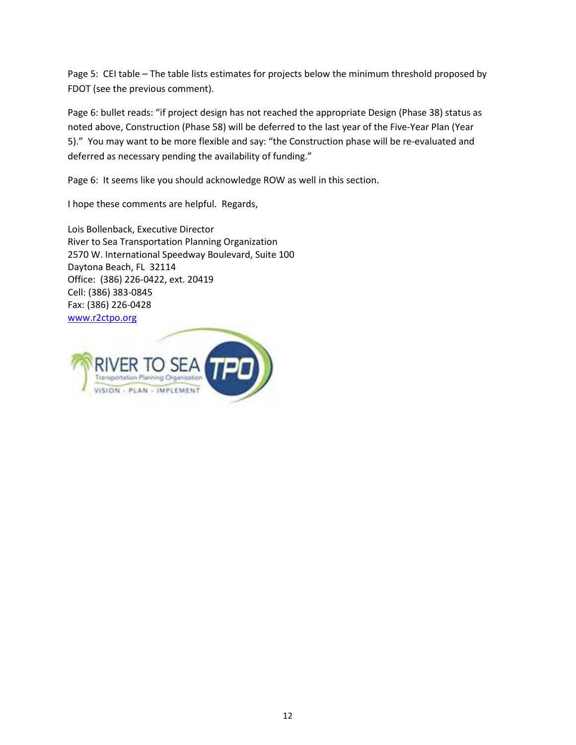Page 5: CEI table – The table lists estimates for projects below the minimum threshold proposed by FDOT (see the previous comment).

Page 6: bullet reads: "if project design has not reached the appropriate Design (Phase 38) status as noted above, Construction (Phase 58) will be deferred to the last year of the Five-Year Plan (Year 5)." You may want to be more flexible and say: "the Construction phase will be re-evaluated and deferred as necessary pending the availability of funding."

Page 6: It seems like you should acknowledge ROW as well in this section.

I hope these comments are helpful. Regards,

Lois Bollenback, Executive Director River to Sea Transportation Planning Organization 2570 W. International Speedway Boulevard, Suite 100 Daytona Beach, FL 32114 Office: (386) 226-0422, ext. 20419 Cell: (386) 383-0845 Fax: (386) 226-0428 [www.r2ctpo.org](http://www.r2ctpo.org/)

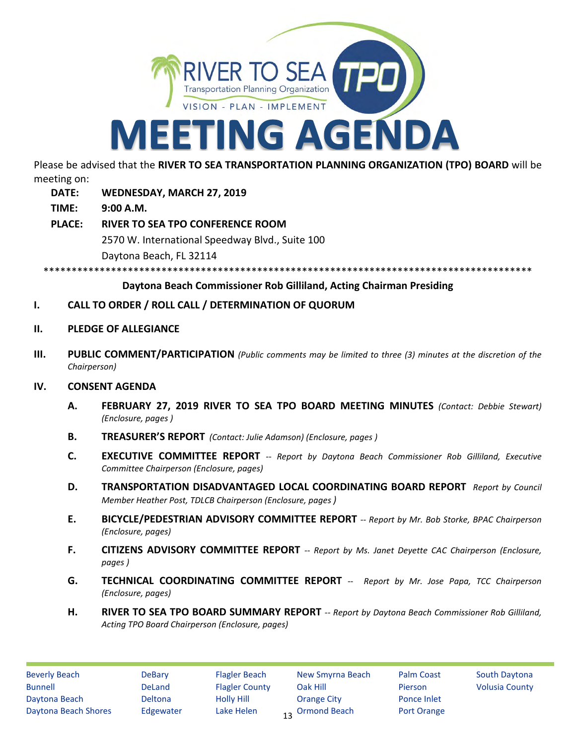

Please be advised that the **RIVER TO SEA TRANSPORTATION PLANNING ORGANIZATION (TPO) BOARD** will be meeting on:

- **DATE: WEDNESDAY, MARCH 27, 2019**
- **TIME: 9:00 A.M.**
- **PLACE: RIVER TO SEA TPO CONFERENCE ROOM** 2570 W. International Speedway Blvd., Suite 100 Daytona Beach, FL 32114

\*\*\*\*\*\*\*\*\*\*\*\*\*\*\*\*\*\*\*\*\*\*\*\*\*\*\*\*\*\*\*\*\*\*\*\*\*\*\*\*\*\*\*\*\*\*\*\*\*\*\*\*\*\*\*\*\*\*\*\*\*\*\*\*\*\*\*\*\*\*\*\*\*\*\*\*\*\*\*\*\*\*\*\*\*\*\*

# **Daytona Beach Commissioner Rob Gilliland, Acting Chairman Presiding**

# **I. CALL TO ORDER / ROLL CALL / DETERMINATION OF QUORUM**

- **II. PLEDGE OF ALLEGIANCE**
- **III. PUBLIC COMMENT/PARTICIPATION** *(Public comments may be limited to three (3) minutes at the discretion of the Chairperson)*

#### **IV. CONSENT AGENDA**

- **A. FEBRUARY 27, 2019 RIVER TO SEA TPO BOARD MEETING MINUTES** *(Contact: Debbie Stewart) (Enclosure, pages )*
- **B. TREASURER'S REPORT** *(Contact: Julie Adamson) (Enclosure, pages )*
- **C. EXECUTIVE COMMITTEE REPORT** *-- Report by Daytona Beach Commissioner Rob Gilliland, Executive Committee Chairperson (Enclosure, pages)*
- **D. TRANSPORTATION DISADVANTAGED LOCAL COORDINATING BOARD REPORT** *Report by Council Member Heather Post, TDLCB Chairperson (Enclosure, pages )*
- **E. BICYCLE/PEDESTRIAN ADVISORY COMMITTEE REPORT** *-- Report by Mr. Bob Storke, BPAC Chairperson (Enclosure, pages)*
- **F. CITIZENS ADVISORY COMMITTEE REPORT** *-- Report by Ms. Janet Deyette CAC Chairperson (Enclosure, pages )*
- **G. TECHNICAL COORDINATING COMMITTEE REPORT** *-- Report by Mr. Jose Papa, TCC Chairperson (Enclosure, pages)*
- **H. RIVER TO SEA TPO BOARD SUMMARY REPORT** *-- Report by Daytona Beach Commissioner Rob Gilliland, Acting TPO Board Chairperson (Enclosure, pages)*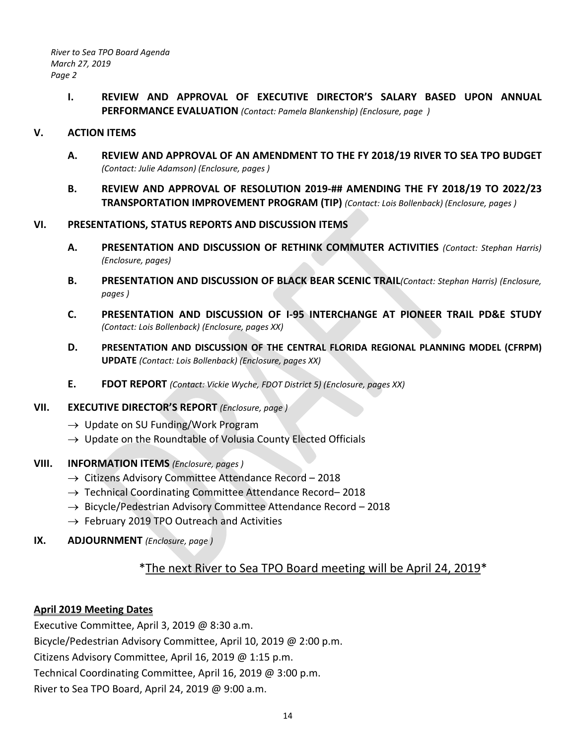**I. REVIEW AND APPROVAL OF EXECUTIVE DIRECTOR'S SALARY BASED UPON ANNUAL PERFORMANCE EVALUATION** *(Contact: Pamela Blankenship) (Enclosure, page )*

# **V. ACTION ITEMS**

- **A. REVIEW AND APPROVAL OF AN AMENDMENT TO THE FY 2018/19 RIVER TO SEA TPO BUDGET**  *(Contact: Julie Adamson) (Enclosure, pages )*
- **B. REVIEW AND APPROVAL OF RESOLUTION 2019-## AMENDING THE FY 2018/19 TO 2022/23 TRANSPORTATION IMPROVEMENT PROGRAM (TIP)** *(Contact: Lois Bollenback) (Enclosure, pages )*

#### **VI. PRESENTATIONS, STATUS REPORTS AND DISCUSSION ITEMS**

- **A. PRESENTATION AND DISCUSSION OF RETHINK COMMUTER ACTIVITIES** *(Contact: Stephan Harris) (Enclosure, pages)*
- **B. PRESENTATION AND DISCUSSION OF BLACK BEAR SCENIC TRAIL***(Contact: Stephan Harris) (Enclosure, pages )*
- **C. PRESENTATION AND DISCUSSION OF I-95 INTERCHANGE AT PIONEER TRAIL PD&E STUDY**  *(Contact: Lois Bollenback) (Enclosure, pages XX)*
- **D. PRESENTATION AND DISCUSSION OF THE CENTRAL FLORIDA REGIONAL PLANNING MODEL (CFRPM) UPDATE** *(Contact: Lois Bollenback) (Enclosure, pages XX)*
- **E. FDOT REPORT** *(Contact: Vickie Wyche, FDOT District 5) (Enclosure, pages XX)*

#### **VII. EXECUTIVE DIRECTOR'S REPORT** *(Enclosure, page )*

- $\rightarrow$  Update on SU Funding/Work Program
- $\rightarrow$  Update on the Roundtable of Volusia County Elected Officials

# **VIII. INFORMATION ITEMS** *(Enclosure, pages )*

- → Citizens Advisory Committee Attendance Record 2018
- $\rightarrow$  Technical Coordinating Committee Attendance Record–2018
- $\rightarrow$  Bicycle/Pedestrian Advisory Committee Attendance Record 2018
- $\rightarrow$  February 2019 TPO Outreach and Activities
- **IX. ADJOURNMENT** *(Enclosure, page )*

# \*The next River to Sea TPO Board meeting will be April 24, 2019\*

# **April 2019 Meeting Dates**

Executive Committee, April 3, 2019 @ 8:30 a.m. Bicycle/Pedestrian Advisory Committee, April 10, 2019 @ 2:00 p.m. Citizens Advisory Committee, April 16, 2019 @ 1:15 p.m. Technical Coordinating Committee, April 16, 2019 @ 3:00 p.m. River to Sea TPO Board, April 24, 2019 @ 9:00 a.m.